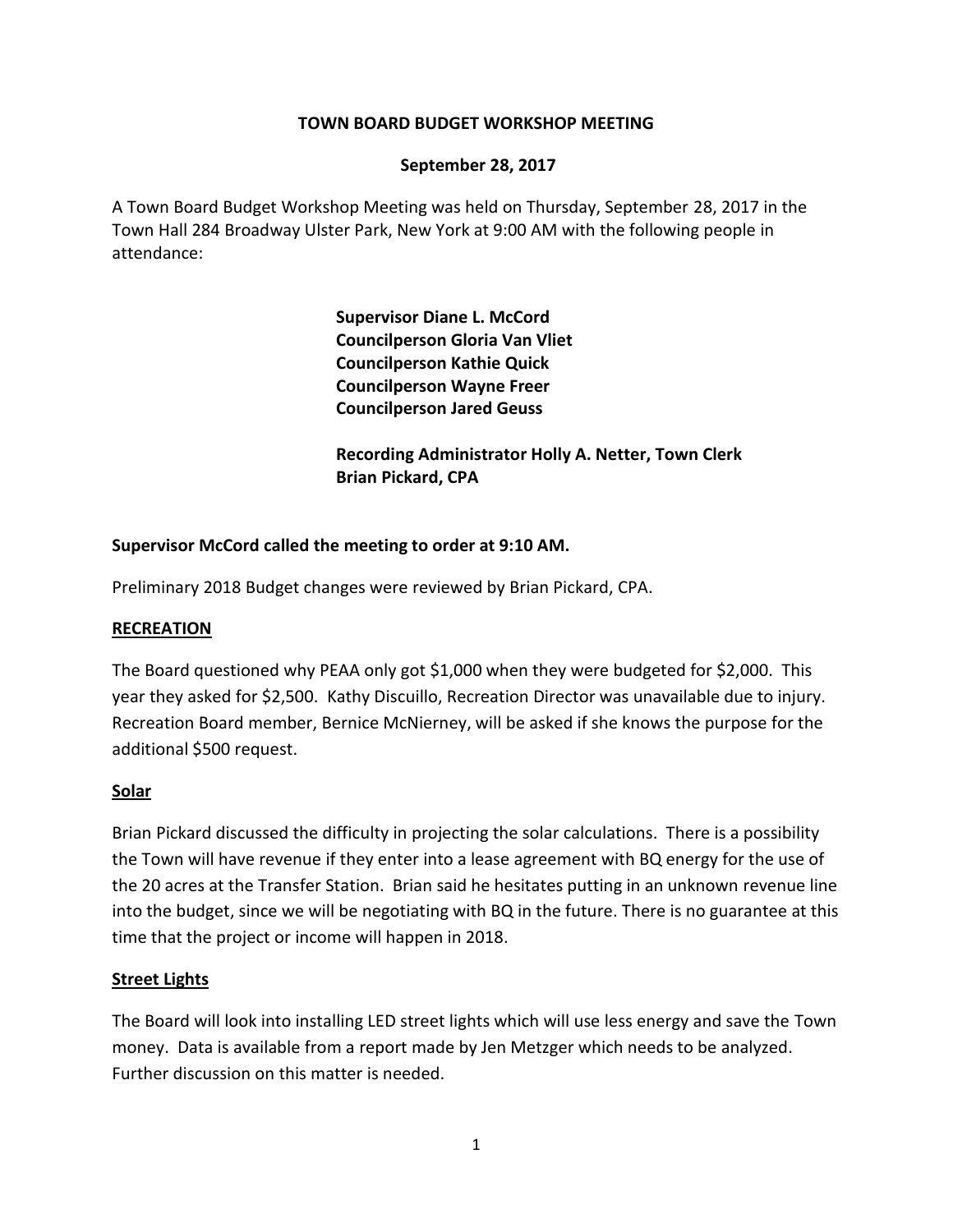#### **TOWN BOARD BUDGET WORKSHOP MEETING**

#### **September 28, 2017**

A Town Board Budget Workshop Meeting was held on Thursday, September 28, 2017 in the Town Hall 284 Broadway Ulster Park, New York at 9:00 AM with the following people in attendance:

> **Supervisor Diane L. McCord Councilperson Gloria Van Vliet Councilperson Kathie Quick Councilperson Wayne Freer Councilperson Jared Geuss**

**Recording Administrator Holly A. Netter, Town Clerk Brian Pickard, CPA**

### **Supervisor McCord called the meeting to order at 9:10 AM.**

Preliminary 2018 Budget changes were reviewed by Brian Pickard, CPA.

#### **RECREATION**

The Board questioned why PEAA only got \$1,000 when they were budgeted for \$2,000. This year they asked for \$2,500. Kathy Discuillo, Recreation Director was unavailable due to injury. Recreation Board member, Bernice McNierney, will be asked if she knows the purpose for the additional \$500 request.

#### **Solar**

Brian Pickard discussed the difficulty in projecting the solar calculations. There is a possibility the Town will have revenue if they enter into a lease agreement with BQ energy for the use of the 20 acres at the Transfer Station. Brian said he hesitates putting in an unknown revenue line into the budget, since we will be negotiating with BQ in the future. There is no guarantee at this time that the project or income will happen in 2018.

#### **Street Lights**

The Board will look into installing LED street lights which will use less energy and save the Town money. Data is available from a report made by Jen Metzger which needs to be analyzed. Further discussion on this matter is needed.

1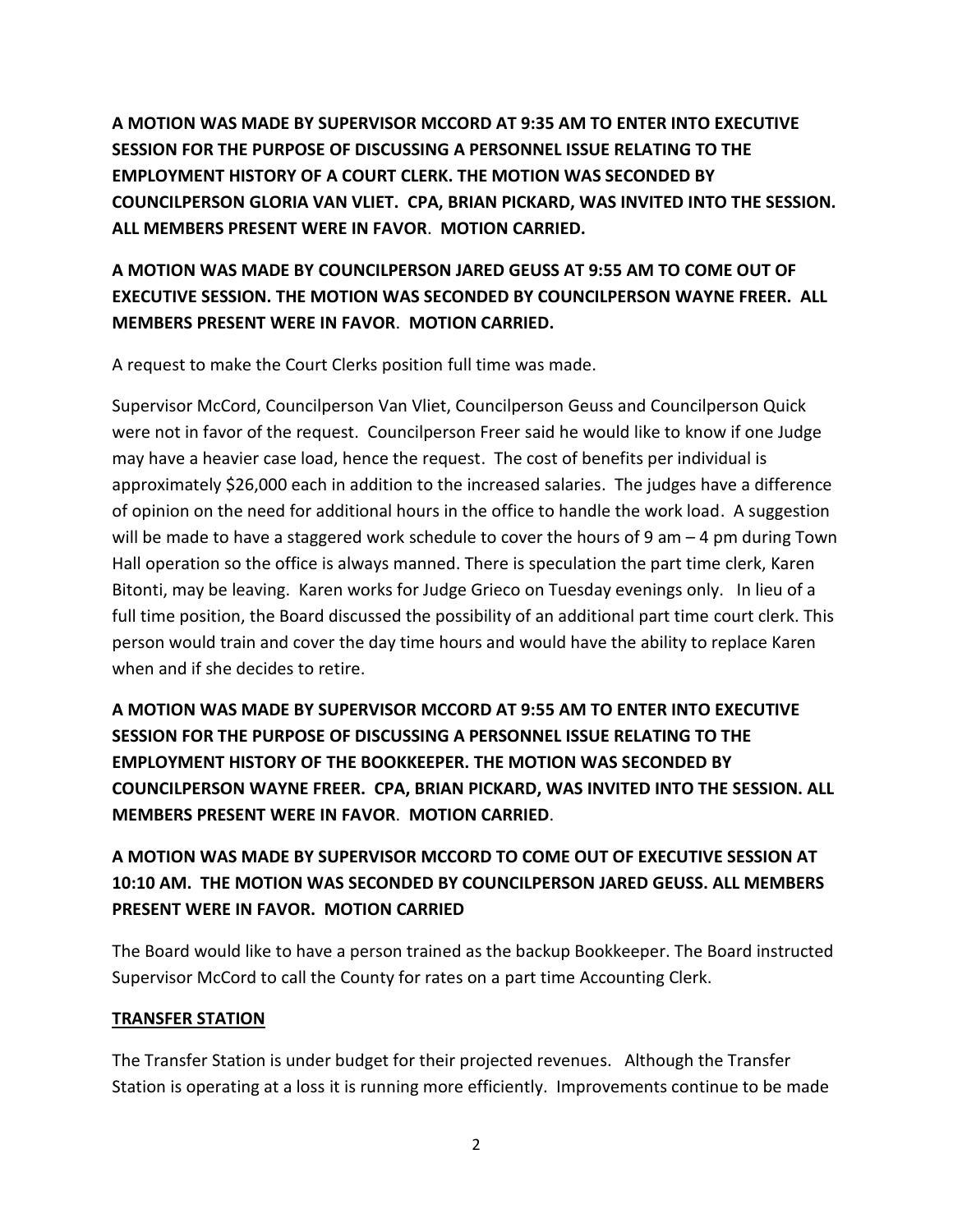**A MOTION WAS MADE BY SUPERVISOR MCCORD AT 9:35 AM TO ENTER INTO EXECUTIVE SESSION FOR THE PURPOSE OF DISCUSSING A PERSONNEL ISSUE RELATING TO THE EMPLOYMENT HISTORY OF A COURT CLERK. THE MOTION WAS SECONDED BY COUNCILPERSON GLORIA VAN VLIET. CPA, BRIAN PICKARD, WAS INVITED INTO THE SESSION. ALL MEMBERS PRESENT WERE IN FAVOR**. **MOTION CARRIED.**

## **A MOTION WAS MADE BY COUNCILPERSON JARED GEUSS AT 9:55 AM TO COME OUT OF EXECUTIVE SESSION. THE MOTION WAS SECONDED BY COUNCILPERSON WAYNE FREER. ALL MEMBERS PRESENT WERE IN FAVOR**. **MOTION CARRIED.**

A request to make the Court Clerks position full time was made.

Supervisor McCord, Councilperson Van Vliet, Councilperson Geuss and Councilperson Quick were not in favor of the request. Councilperson Freer said he would like to know if one Judge may have a heavier case load, hence the request. The cost of benefits per individual is approximately \$26,000 each in addition to the increased salaries. The judges have a difference of opinion on the need for additional hours in the office to handle the work load. A suggestion will be made to have a staggered work schedule to cover the hours of 9 am - 4 pm during Town Hall operation so the office is always manned. There is speculation the part time clerk, Karen Bitonti, may be leaving. Karen works for Judge Grieco on Tuesday evenings only. In lieu of a full time position, the Board discussed the possibility of an additional part time court clerk. This person would train and cover the day time hours and would have the ability to replace Karen when and if she decides to retire.

**A MOTION WAS MADE BY SUPERVISOR MCCORD AT 9:55 AM TO ENTER INTO EXECUTIVE SESSION FOR THE PURPOSE OF DISCUSSING A PERSONNEL ISSUE RELATING TO THE EMPLOYMENT HISTORY OF THE BOOKKEEPER. THE MOTION WAS SECONDED BY COUNCILPERSON WAYNE FREER. CPA, BRIAN PICKARD, WAS INVITED INTO THE SESSION. ALL MEMBERS PRESENT WERE IN FAVOR**. **MOTION CARRIED**.

# **A MOTION WAS MADE BY SUPERVISOR MCCORD TO COME OUT OF EXECUTIVE SESSION AT 10:10 AM. THE MOTION WAS SECONDED BY COUNCILPERSON JARED GEUSS. ALL MEMBERS PRESENT WERE IN FAVOR. MOTION CARRIED**

The Board would like to have a person trained as the backup Bookkeeper. The Board instructed Supervisor McCord to call the County for rates on a part time Accounting Clerk.

### **TRANSFER STATION**

The Transfer Station is under budget for their projected revenues. Although the Transfer Station is operating at a loss it is running more efficiently. Improvements continue to be made